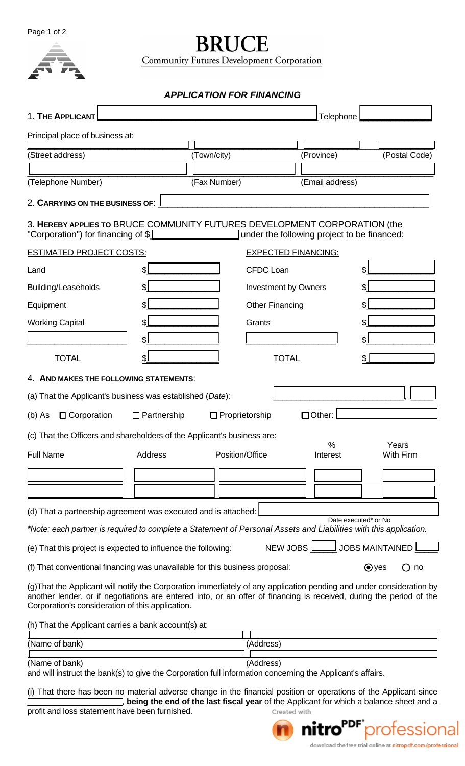Page 1 of 2



**BRUCE** Community Futures Development Corporation

*APPLICATION FOR FINANCING* 

| 1. THE APPLICANT                                                                                                                                                                                                                                                                                |                    |              |                             | Telephone                                   |                                   |
|-------------------------------------------------------------------------------------------------------------------------------------------------------------------------------------------------------------------------------------------------------------------------------------------------|--------------------|--------------|-----------------------------|---------------------------------------------|-----------------------------------|
| Principal place of business at:                                                                                                                                                                                                                                                                 |                    |              |                             |                                             |                                   |
| (Street address)                                                                                                                                                                                                                                                                                |                    | (Town/city)  |                             | (Province)                                  | (Postal Code)                     |
| (Telephone Number)                                                                                                                                                                                                                                                                              |                    | (Fax Number) |                             | (Email address)                             |                                   |
| 2. CARRYING ON THE BUSINESS OF:                                                                                                                                                                                                                                                                 |                    |              |                             |                                             |                                   |
| 3. HEREBY APPLIES TO BRUCE COMMUNITY FUTURES DEVELOPMENT CORPORATION (the<br>"Corporation") for financing of \$                                                                                                                                                                                 |                    |              |                             | under the following project to be financed: |                                   |
| <b>ESTIMATED PROJECT COSTS:</b>                                                                                                                                                                                                                                                                 |                    |              |                             | <b>EXPECTED FINANCING:</b>                  |                                   |
| Land                                                                                                                                                                                                                                                                                            |                    |              | <b>CFDC Loan</b>            |                                             |                                   |
| Building/Leaseholds                                                                                                                                                                                                                                                                             |                    |              | <b>Investment by Owners</b> |                                             |                                   |
| Equipment                                                                                                                                                                                                                                                                                       |                    |              | <b>Other Financing</b>      |                                             |                                   |
| <b>Working Capital</b>                                                                                                                                                                                                                                                                          |                    |              | Grants                      |                                             |                                   |
|                                                                                                                                                                                                                                                                                                 | \$.                |              |                             |                                             |                                   |
| <b>TOTAL</b>                                                                                                                                                                                                                                                                                    |                    |              | <b>TOTAL</b>                |                                             |                                   |
| 4. AND MAKES THE FOLLOWING STATEMENTS:                                                                                                                                                                                                                                                          |                    |              |                             |                                             |                                   |
| (a) That the Applicant's business was established (Date):                                                                                                                                                                                                                                       |                    |              |                             |                                             |                                   |
| □ Corporation<br>$(b)$ As                                                                                                                                                                                                                                                                       | $\Box$ Partnership |              | $\Box$ Proprietorship       | □Other:                                     |                                   |
| (c) That the Officers and shareholders of the Applicant's business are:                                                                                                                                                                                                                         |                    |              |                             |                                             |                                   |
| <b>Full Name</b>                                                                                                                                                                                                                                                                                | Address            |              | Position/Office             | %<br>Interest                               | Years<br><b>With Firm</b>         |
|                                                                                                                                                                                                                                                                                                 |                    |              |                             |                                             |                                   |
|                                                                                                                                                                                                                                                                                                 |                    |              |                             |                                             |                                   |
| (d) That a partnership agreement was executed and is attached:                                                                                                                                                                                                                                  |                    |              |                             |                                             |                                   |
| *Note: each partner is required to complete a Statement of Personal Assets and Liabilities with this application.                                                                                                                                                                               |                    |              |                             |                                             | Date executed* or No              |
| (e) That this project is expected to influence the following:                                                                                                                                                                                                                                   |                    |              |                             | NEW JOBS                                    | <u>」</u> JOBS MAINTAINED <u>l</u> |
| (f) That conventional financing was unavailable for this business proposal:                                                                                                                                                                                                                     |                    |              |                             |                                             | $\odot$ yes<br>$\bigcirc$ no      |
| (g) That the Applicant will notify the Corporation immediately of any application pending and under consideration by<br>another lender, or if negotiations are entered into, or an offer of financing is received, during the period of the<br>Corporation's consideration of this application. |                    |              |                             |                                             |                                   |
| (h) That the Applicant carries a bank account(s) at:                                                                                                                                                                                                                                            |                    |              |                             |                                             |                                   |
| (Name of bank)                                                                                                                                                                                                                                                                                  |                    |              | (Address)                   |                                             |                                   |

(Name of bank) (Address)

and will instruct the bank(s) to give the Corporation full information concerning the Applicant's affairs.

(i) That there has been no material adverse change in the financial position or operations of the Applicant since **THE SET STEED SHEET SHEET SHEET SHEET SHEET SHEET SHEET SHEET SHEET SHEET SHEET SHEET SHEET SHEET SHEET SHEET SHEET SHEET SHEET SHEET SHEET SHEET SHEET SHEET SHEET SHEET SHEET SHEET SHEET SHEET SHEET SHEET SHEET SHEET SHE** 

profit and loss statement have been furnished.